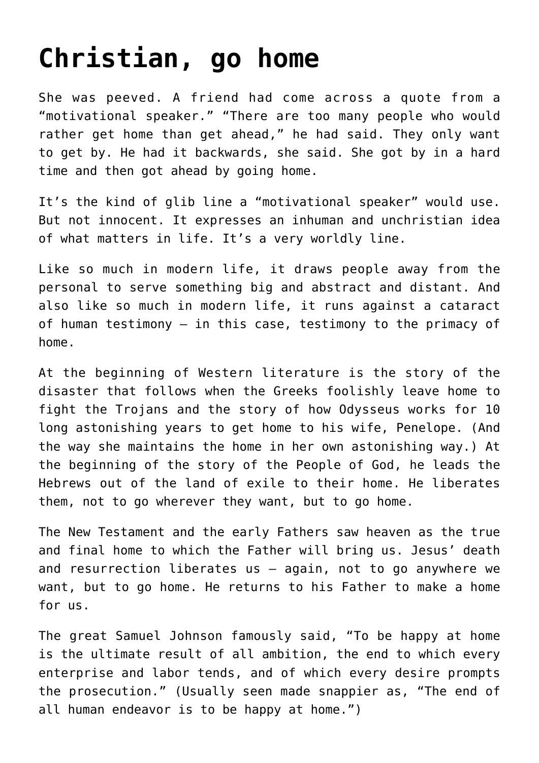## **[Christian, go home](https://www.osvnews.com/2021/08/31/christian-go-home/)**

She was peeved. A friend had come across a quote from a "motivational speaker." "There are too many people who would rather get home than get ahead," he had said. They only want to get by. He had it backwards, she said. She got by in a hard time and then got ahead by going home.

It's the kind of glib line a "motivational speaker" would use. But not innocent. It expresses an inhuman and unchristian idea of what matters in life. It's a very worldly line.

Like so much in modern life, it draws people away from the personal to serve something big and abstract and distant. And also like so much in modern life, it runs against a cataract of human testimony — in this case, testimony to the primacy of home.

At the beginning of Western literature is the story of the disaster that follows when the Greeks foolishly leave home to fight the Trojans and the story of how Odysseus works for 10 long astonishing years to get home to his wife, Penelope. (And the way she maintains the home in her own astonishing way.) At the beginning of the story of the People of God, he leads the Hebrews out of the land of exile to their home. He liberates them, not to go wherever they want, but to go home.

The New Testament and the early Fathers saw heaven as the true and final home to which the Father will bring us. Jesus' death and resurrection liberates us — again, not to go anywhere we want, but to go home. He returns to his Father to make a home for us.

The great Samuel Johnson famously said, "To be happy at home is the ultimate result of all ambition, the end to which every enterprise and labor tends, and of which every desire prompts the prosecution." (Usually seen made snappier as, "The end of all human endeavor is to be happy at home.")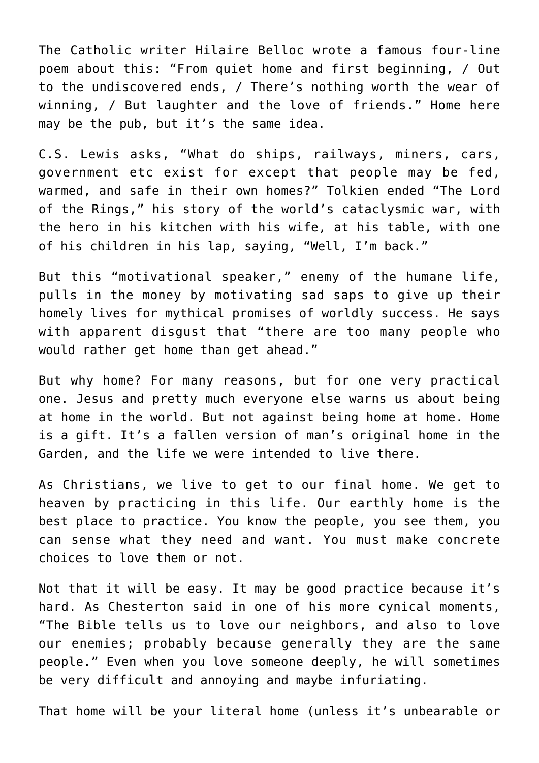The Catholic writer Hilaire Belloc wrote a famous four-line poem about this: "From quiet home and first beginning, / Out to the undiscovered ends, / There's nothing worth the wear of winning, / But laughter and the love of friends." Home here may be the pub, but it's the same idea.

C.S. Lewis asks, "What do ships, railways, miners, cars, government etc exist for except that people may be fed, warmed, and safe in their own homes?" Tolkien ended "The Lord of the Rings," his story of the world's cataclysmic war, with the hero in his kitchen with his wife, at his table, with one of his children in his lap, saying, "Well, I'm back."

But this "motivational speaker," enemy of the humane life, pulls in the money by motivating sad saps to give up their homely lives for mythical promises of worldly success. He says with apparent disgust that "there are too many people who would rather get home than get ahead."

But why home? For many reasons, but for one very practical one. Jesus and pretty much everyone else warns us about being at home in the world. But not against being home at home. Home is a gift. It's a fallen version of man's original home in the Garden, and the life we were intended to live there.

As Christians, we live to get to our final home. We get to heaven by practicing in this life. Our earthly home is the best place to practice. You know the people, you see them, you can sense what they need and want. You must make concrete choices to love them or not.

Not that it will be easy. It may be good practice because it's hard. As Chesterton said in one of his more cynical moments, "The Bible tells us to love our neighbors, and also to love our enemies; probably because generally they are the same people." Even when you love someone deeply, he will sometimes be very difficult and annoying and maybe infuriating.

That home will be your literal home (unless it's unbearable or